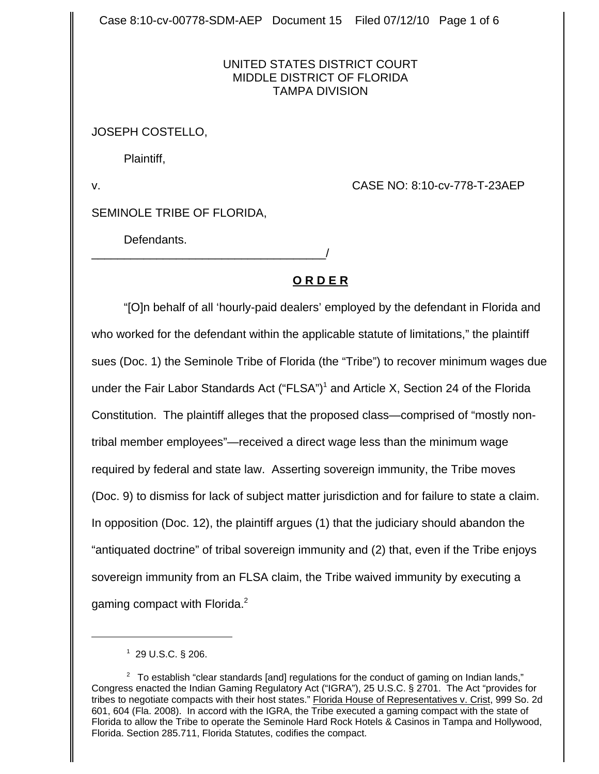Case 8:10-cv-00778-SDM-AEP Document 15 Filed 07/12/10 Page 1 of 6

## UNITED STATES DISTRICT COURT MIDDLE DISTRICT OF FLORIDA TAMPA DIVISION

## JOSEPH COSTELLO,

Plaintiff,

v. CASE NO: 8:10-cv-778-T-23AEP

SEMINOLE TRIBE OF FLORIDA,

\_\_\_\_\_\_\_\_\_\_\_\_\_\_\_\_\_\_\_\_\_\_\_\_\_\_\_\_\_\_\_\_\_\_\_\_/

Defendants.

# **O R D E R**

"[O]n behalf of all 'hourly-paid dealers' employed by the defendant in Florida and who worked for the defendant within the applicable statute of limitations," the plaintiff sues (Doc. 1) the Seminole Tribe of Florida (the "Tribe") to recover minimum wages due under the Fair Labor Standards Act ("FLSA")<sup>1</sup> and Article X, Section 24 of the Florida Constitution. The plaintiff alleges that the proposed class—comprised of "mostly nontribal member employees"—received a direct wage less than the minimum wage required by federal and state law. Asserting sovereign immunity, the Tribe moves (Doc. 9) to dismiss for lack of subject matter jurisdiction and for failure to state a claim. In opposition (Doc. 12), the plaintiff argues (1) that the judiciary should abandon the "antiquated doctrine" of tribal sovereign immunity and (2) that, even if the Tribe enjoys sovereign immunity from an FLSA claim, the Tribe waived immunity by executing a gaming compact with Florida.<sup>2</sup>

 $1$  29 U.S.C. § 206.

 $2$  To establish "clear standards [and] regulations for the conduct of gaming on Indian lands," Congress enacted the Indian Gaming Regulatory Act ("IGRA"), 25 U.S.C. § 2701. The Act "provides for tribes to negotiate compacts with their host states." Florida House of Representatives v. Crist, 999 So. 2d 601, 604 (Fla. 2008). In accord with the IGRA, the Tribe executed a gaming compact with the state of Florida to allow the Tribe to operate the Seminole Hard Rock Hotels & Casinos in Tampa and Hollywood, Florida. Section 285.711, Florida Statutes, codifies the compact.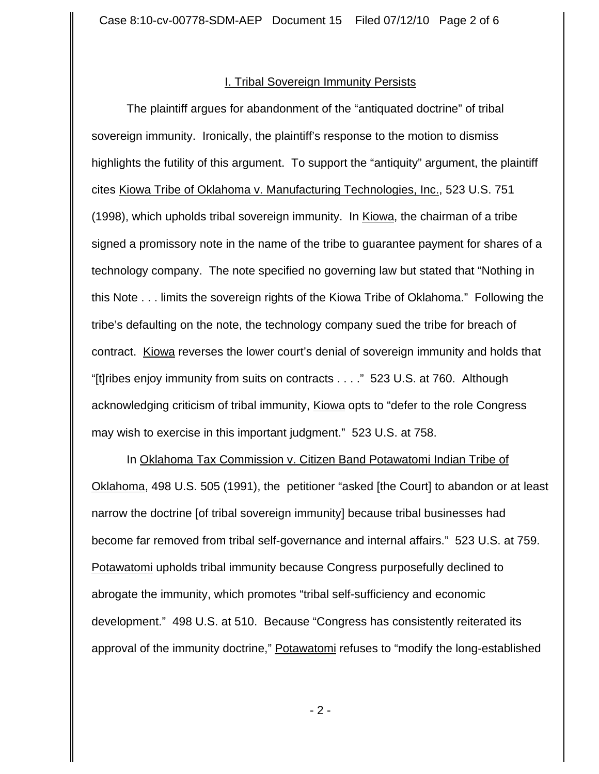#### I. Tribal Sovereign Immunity Persists

The plaintiff argues for abandonment of the "antiquated doctrine" of tribal sovereign immunity. Ironically, the plaintiff's response to the motion to dismiss highlights the futility of this argument. To support the "antiquity" argument, the plaintiff cites Kiowa Tribe of Oklahoma v. Manufacturing Technologies, Inc., 523 U.S. 751 (1998), which upholds tribal sovereign immunity. In Kiowa, the chairman of a tribe signed a promissory note in the name of the tribe to guarantee payment for shares of a technology company. The note specified no governing law but stated that "Nothing in this Note . . . limits the sovereign rights of the Kiowa Tribe of Oklahoma." Following the tribe's defaulting on the note, the technology company sued the tribe for breach of contract. Kiowa reverses the lower court's denial of sovereign immunity and holds that "[t]ribes enjoy immunity from suits on contracts . . . ." 523 U.S. at 760. Although acknowledging criticism of tribal immunity, Kiowa opts to "defer to the role Congress may wish to exercise in this important judgment." 523 U.S. at 758.

In Oklahoma Tax Commission v. Citizen Band Potawatomi Indian Tribe of Oklahoma, 498 U.S. 505 (1991), the petitioner "asked [the Court] to abandon or at least narrow the doctrine [of tribal sovereign immunity] because tribal businesses had become far removed from tribal self-governance and internal affairs." 523 U.S. at 759. Potawatomi upholds tribal immunity because Congress purposefully declined to abrogate the immunity, which promotes "tribal self-sufficiency and economic development." 498 U.S. at 510. Because "Congress has consistently reiterated its approval of the immunity doctrine," Potawatomi refuses to "modify the long-established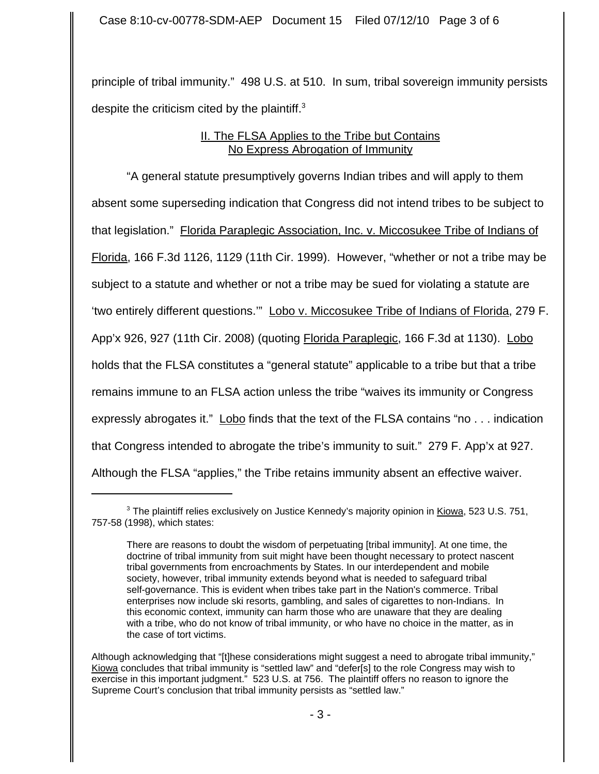principle of tribal immunity." 498 U.S. at 510. In sum, tribal sovereign immunity persists despite the criticism cited by the plaintiff. $3$ 

# II. The FLSA Applies to the Tribe but Contains No Express Abrogation of Immunity

"A general statute presumptively governs Indian tribes and will apply to them absent some superseding indication that Congress did not intend tribes to be subject to that legislation." Florida Paraplegic Association, Inc. v. Miccosukee Tribe of Indians of Florida, 166 F.3d 1126, 1129 (11th Cir. 1999). However, "whether or not a tribe may be subject to a statute and whether or not a tribe may be sued for violating a statute are 'two entirely different questions.'" Lobo v. Miccosukee Tribe of Indians of Florida, 279 F. App'x 926, 927 (11th Cir. 2008) (quoting Florida Paraplegic, 166 F.3d at 1130). Lobo holds that the FLSA constitutes a "general statute" applicable to a tribe but that a tribe remains immune to an FLSA action unless the tribe "waives its immunity or Congress expressly abrogates it." Lobo finds that the text of the FLSA contains "no . . . indication that Congress intended to abrogate the tribe's immunity to suit." 279 F. App'x at 927. Although the FLSA "applies," the Tribe retains immunity absent an effective waiver.

<sup>&</sup>lt;sup>3</sup> The plaintiff relies exclusively on Justice Kennedy's majority opinion in Kiowa, 523 U.S. 751, 757-58 (1998), which states:

There are reasons to doubt the wisdom of perpetuating [tribal immunity]. At one time, the doctrine of tribal immunity from suit might have been thought necessary to protect nascent tribal governments from encroachments by States. In our interdependent and mobile society, however, tribal immunity extends beyond what is needed to safeguard tribal self-governance. This is evident when tribes take part in the Nation's commerce. Tribal enterprises now include ski resorts, gambling, and sales of cigarettes to non-Indians. In this economic context, immunity can harm those who are unaware that they are dealing with a tribe, who do not know of tribal immunity, or who have no choice in the matter, as in the case of tort victims.

Although acknowledging that "[t]hese considerations might suggest a need to abrogate tribal immunity," Kiowa concludes that tribal immunity is "settled law" and "defer[s] to the role Congress may wish to exercise in this important judgment." 523 U.S. at 756. The plaintiff offers no reason to ignore the Supreme Court's conclusion that tribal immunity persists as "settled law."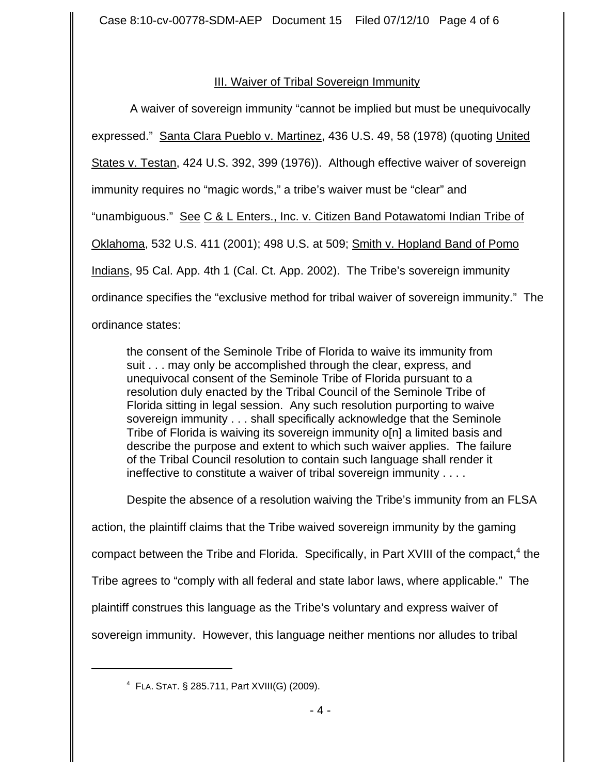# III. Waiver of Tribal Sovereign Immunity

 A waiver of sovereign immunity "cannot be implied but must be unequivocally expressed." Santa Clara Pueblo v. Martinez, 436 U.S. 49, 58 (1978) (quoting United States v. Testan, 424 U.S. 392, 399 (1976)). Although effective waiver of sovereign immunity requires no "magic words," a tribe's waiver must be "clear" and "unambiguous." See C & L Enters., Inc. v. Citizen Band Potawatomi Indian Tribe of Oklahoma, 532 U.S. 411 (2001); 498 U.S. at 509; Smith v. Hopland Band of Pomo Indians, 95 Cal. App. 4th 1 (Cal. Ct. App. 2002). The Tribe's sovereign immunity ordinance specifies the "exclusive method for tribal waiver of sovereign immunity." The ordinance states:

the consent of the Seminole Tribe of Florida to waive its immunity from suit . . . may only be accomplished through the clear, express, and unequivocal consent of the Seminole Tribe of Florida pursuant to a resolution duly enacted by the Tribal Council of the Seminole Tribe of Florida sitting in legal session. Any such resolution purporting to waive sovereign immunity . . . shall specifically acknowledge that the Seminole Tribe of Florida is waiving its sovereign immunity o[n] a limited basis and describe the purpose and extent to which such waiver applies. The failure of the Tribal Council resolution to contain such language shall render it ineffective to constitute a waiver of tribal sovereign immunity . . . .

Despite the absence of a resolution waiving the Tribe's immunity from an FLSA action, the plaintiff claims that the Tribe waived sovereign immunity by the gaming compact between the Tribe and Florida. Specifically, in Part XVIII of the compact,<sup>4</sup> the Tribe agrees to "comply with all federal and state labor laws, where applicable." The plaintiff construes this language as the Tribe's voluntary and express waiver of sovereign immunity. However, this language neither mentions nor alludes to tribal

<sup>4</sup> FLA. STAT. § 285.711, Part XVIII(G) (2009).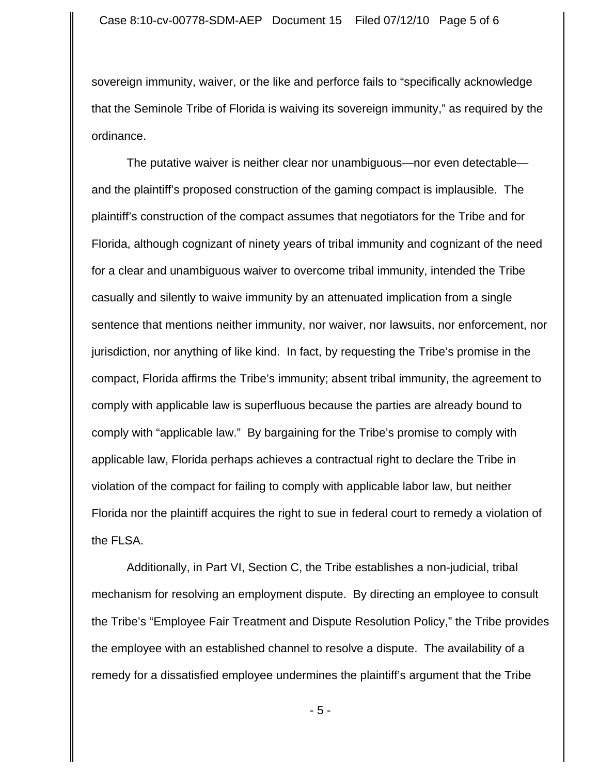sovereign immunity, waiver, or the like and perforce fails to "specifically acknowledge that the Seminole Tribe of Florida is waiving its sovereign immunity," as required by the ordinance.

The putative waiver is neither clear nor unambiguous—nor even detectable and the plaintiff's proposed construction of the gaming compact is implausible. The plaintiff's construction of the compact assumes that negotiators for the Tribe and for Florida, although cognizant of ninety years of tribal immunity and cognizant of the need for a clear and unambiguous waiver to overcome tribal immunity, intended the Tribe casually and silently to waive immunity by an attenuated implication from a single sentence that mentions neither immunity, nor waiver, nor lawsuits, nor enforcement, nor jurisdiction, nor anything of like kind. In fact, by requesting the Tribe's promise in the compact, Florida affirms the Tribe's immunity; absent tribal immunity, the agreement to comply with applicable law is superfluous because the parties are already bound to comply with "applicable law." By bargaining for the Tribe's promise to comply with applicable law, Florida perhaps achieves a contractual right to declare the Tribe in violation of the compact for failing to comply with applicable labor law, but neither Florida nor the plaintiff acquires the right to sue in federal court to remedy a violation of the FLSA.

Additionally, in Part VI, Section C, the Tribe establishes a non-judicial, tribal mechanism for resolving an employment dispute. By directing an employee to consult the Tribe's "Employee Fair Treatment and Dispute Resolution Policy," the Tribe provides the employee with an established channel to resolve a dispute. The availability of a remedy for a dissatisfied employee undermines the plaintiff's argument that the Tribe

- 5 -